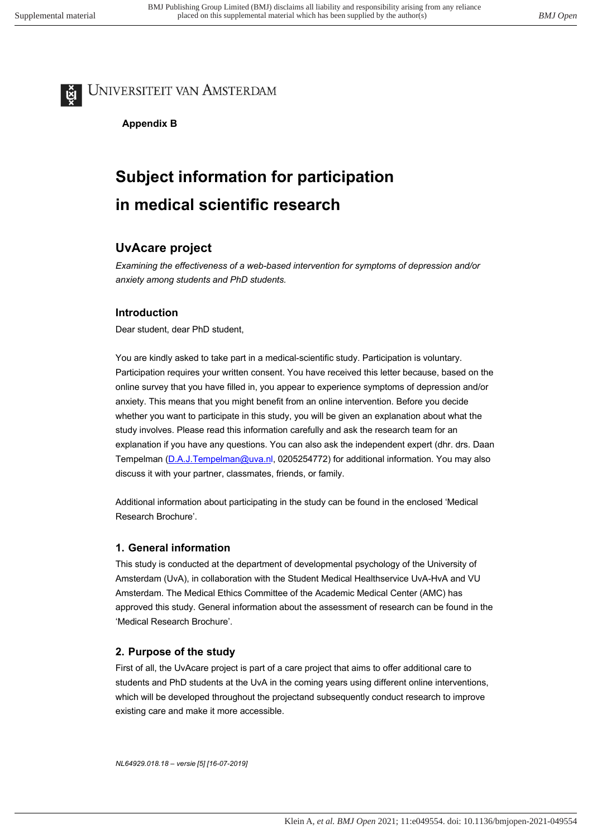# UNIVERSITEIT VAN AMSTERDAM

**Appendix A Appendix B**

# **Subject information for participation in medical scientific research**

# **UvAcare project**

*Examining the effectiveness of a web-based intervention for symptoms of depression and/or anxiety among students and PhD students.*

## **Introduction**

Dear student, dear PhD student,

You are kindly asked to take part in a medical-scientific study. Participation is voluntary. Participation requires your written consent. You have received this letter because, based on the online survey that you have filled in, you appear to experience symptoms of depression and/or anxiety. This means that you might benefit from an online intervention. Before you decide whether you want to participate in this study, you will be given an explanation about what the study involves. Please read this information carefully and ask the research team for an explanation if you have any questions. You can also ask the independent expert (dhr. drs. Daan Tempelman (D.A.J.Tempelman@uva.nl, 0205254772) for additional information. You may also discuss it with your partner, classmates, friends, or family.

Additional information about participating in the study can be found in the enclosed 'Medical Research Brochure'.

### **1. General information**

This study is conducted at the department of developmental psychology of the University of Amsterdam (UvA), in collaboration with the Student Medical Healthservice UvA-HvA and VU Amsterdam. The Medical Ethics Committee of the Academic Medical Center (AMC) has approved this study. General information about the assessment of research can be found in the 'Medical Research Brochure'.

## **2. Purpose of the study**

First of all, the UvAcare project is part of a care project that aims to offer additional care to students and PhD students at the UvA in the coming years using different online interventions, which will be developed throughout the projectand subsequently conduct research to improve existing care and make it more accessible.

```
NL64929.018.18 – versie [5] [16-07-2019]
```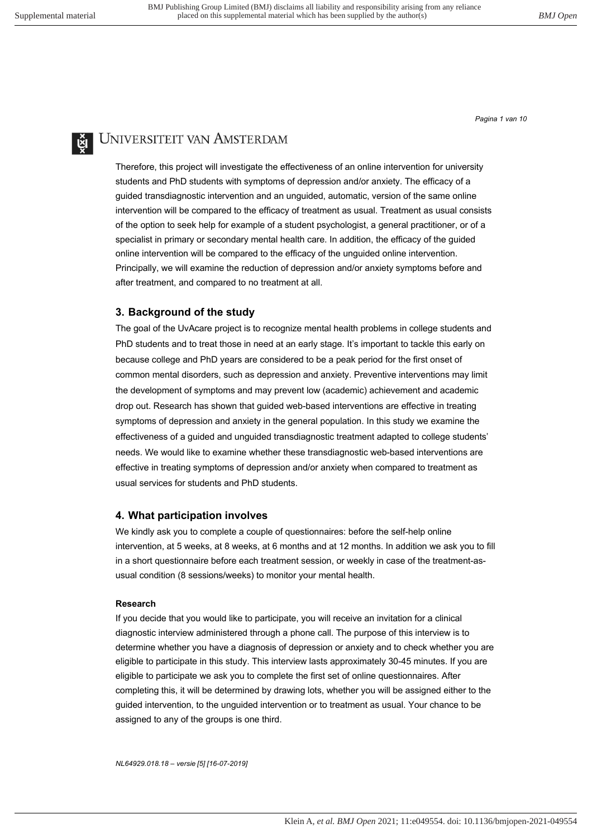*Pagina 1 van 10*

# UNIVERSITEIT VAN AMSTERDAM

Therefore, this project will investigate the effectiveness of an online intervention for university students and PhD students with symptoms of depression and/or anxiety. The efficacy of a guided transdiagnostic intervention and an unguided, automatic, version of the same online intervention will be compared to the efficacy of treatment as usual. Treatment as usual consists of the option to seek help for example of a student psychologist, a general practitioner, or of a specialist in primary or secondary mental health care. In addition, the efficacy of the guided online intervention will be compared to the efficacy of the unguided online intervention. Principally, we will examine the reduction of depression and/or anxiety symptoms before and after treatment, and compared to no treatment at all.

#### **3. Background of the study**

The goal of the UvAcare project is to recognize mental health problems in college students and PhD students and to treat those in need at an early stage. It's important to tackle this early on because college and PhD years are considered to be a peak period for the first onset of common mental disorders, such as depression and anxiety. Preventive interventions may limit the development of symptoms and may prevent low (academic) achievement and academic drop out. Research has shown that guided web-based interventions are effective in treating symptoms of depression and anxiety in the general population. In this study we examine the effectiveness of a guided and unguided transdiagnostic treatment adapted to college students' needs. We would like to examine whether these transdiagnostic web-based interventions are effective in treating symptoms of depression and/or anxiety when compared to treatment as usual services for students and PhD students.

#### **4. What participation involves**

We kindly ask you to complete a couple of questionnaires: before the self-help online intervention, at 5 weeks, at 8 weeks, at 6 months and at 12 months. In addition we ask you to fill in a short questionnaire before each treatment session, or weekly in case of the treatment-asusual condition (8 sessions/weeks) to monitor your mental health.

#### **Research**

If you decide that you would like to participate, you will receive an invitation for a clinical diagnostic interview administered through a phone call. The purpose of this interview is to determine whether you have a diagnosis of depression or anxiety and to check whether you are eligible to participate in this study. This interview lasts approximately 30-45 minutes. If you are eligible to participate we ask you to complete the first set of online questionnaires. After completing this, it will be determined by drawing lots, whether you will be assigned either to the guided intervention, to the unguided intervention or to treatment as usual. Your chance to be assigned to any of the groups is one third.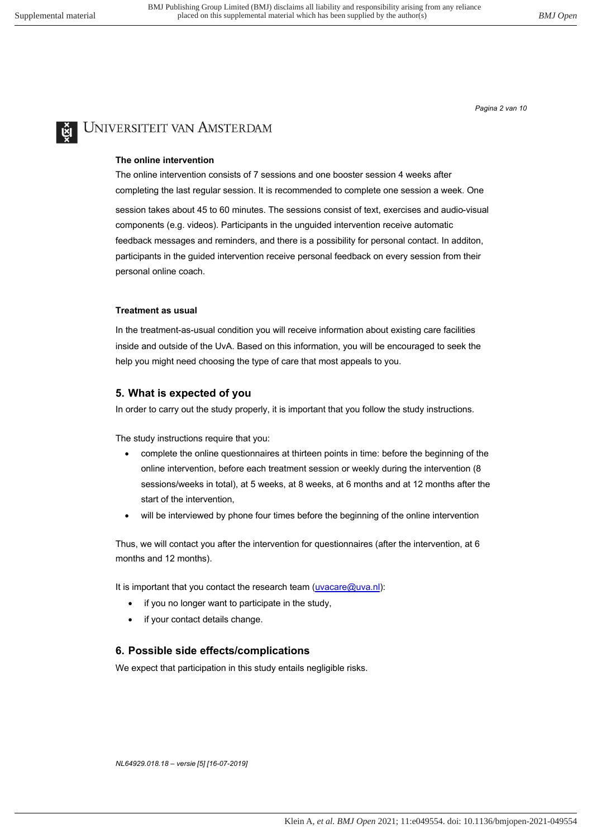*Pagina 2 van 10*

# **E** UNIVERSITEIT VAN AMSTERDAM

#### **The online intervention**

The online intervention consists of 7 sessions and one booster session 4 weeks after completing the last regular session. It is recommended to complete one session a week. One

session takes about 45 to 60 minutes. The sessions consist of text, exercises and audio-visual components (e.g. videos). Participants in the unguided intervention receive automatic feedback messages and reminders, and there is a possibility for personal contact. In additon, participants in the guided intervention receive personal feedback on every session from their personal online coach.

#### **Treatment as usual**

In the treatment-as-usual condition you will receive information about existing care facilities inside and outside of the UvA. Based on this information, you will be encouraged to seek the help you might need choosing the type of care that most appeals to you.

#### **5. What is expected of you**

In order to carry out the study properly, it is important that you follow the study instructions.

The study instructions require that you:

- complete the online questionnaires at thirteen points in time: before the beginning of the online intervention, before each treatment session or weekly during the intervention (8 sessions/weeks in total), at 5 weeks, at 8 weeks, at 6 months and at 12 months after the start of the intervention,
- will be interviewed by phone four times before the beginning of the online intervention

Thus, we will contact you after the intervention for questionnaires (after the intervention, at 6 months and 12 months).

It is important that you contact the research team (uvacare@uva.nl):

- if you no longer want to participate in the study,
- if your contact details change.

#### **6. Possible side effects/complications**

We expect that participation in this study entails negligible risks.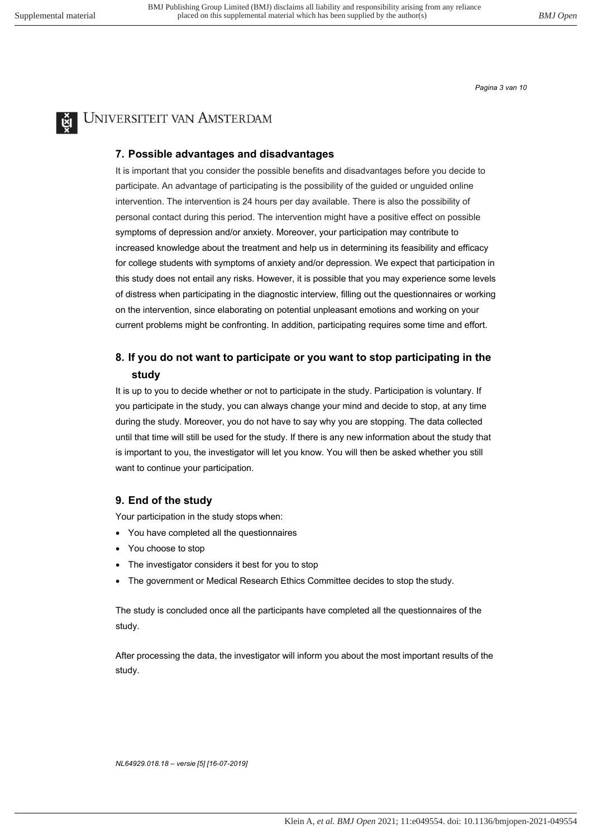*Pagina 3 van 10*



# UNIVERSITEIT VAN AMSTERDAM

#### **7. Possible advantages and disadvantages**

It is important that you consider the possible benefits and disadvantages before you decide to participate. An advantage of participating is the possibility of the guided or unguided online intervention. The intervention is 24 hours per day available. There is also the possibility of personal contact during this period. The intervention might have a positive effect on possible symptoms of depression and/or anxiety. Moreover, your participation may contribute to increased knowledge about the treatment and help us in determining its feasibility and efficacy for college students with symptoms of anxiety and/or depression. We expect that participation in this study does not entail any risks. However, it is possible that you may experience some levels of distress when participating in the diagnostic interview, filling out the questionnaires or working on the intervention, since elaborating on potential unpleasant emotions and working on your current problems might be confronting. In addition, participating requires some time and effort.

### **8. If you do not want to participate or you want to stop participating in the study**

It is up to you to decide whether or not to participate in the study. Participation is voluntary. If you participate in the study, you can always change your mind and decide to stop, at any time during the study. Moreover, you do not have to say why you are stopping. The data collected until that time will still be used for the study. If there is any new information about the study that is important to you, the investigator will let you know. You will then be asked whether you still want to continue your participation.

#### **9. End of the study**

Your participation in the study stops when:

- You have completed all the questionnaires
- You choose to stop
- The investigator considers it best for you to stop
- The government or Medical Research Ethics Committee decides to stop the study.

The study is concluded once all the participants have completed all the questionnaires of the study.

After processing the data, the investigator will inform you about the most important results of the study.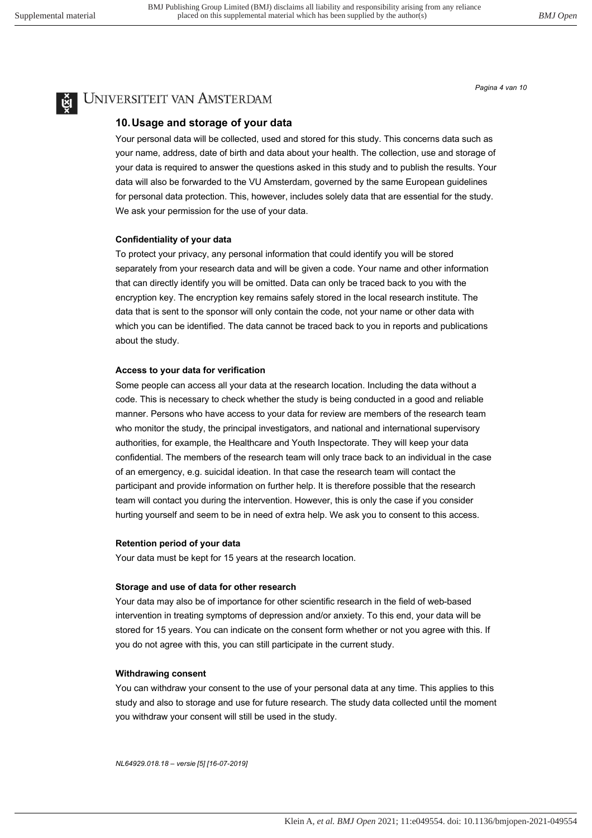*Pagina 4 van 10*

# UNIVERSITEIT VAN AMSTERDAM

#### **10. Usage and storage of your data**

Your personal data will be collected, used and stored for this study. This concerns data such as your name, address, date of birth and data about your health. The collection, use and storage of your data is required to answer the questions asked in this study and to publish the results. Your data will also be forwarded to the VU Amsterdam, governed by the same European guidelines for personal data protection. This, however, includes solely data that are essential for the study. We ask your permission for the use of your data.

#### **Confidentiality of your data**

To protect your privacy, any personal information that could identify you will be stored separately from your research data and will be given a code. Your name and other information that can directly identify you will be omitted. Data can only be traced back to you with the encryption key. The encryption key remains safely stored in the local research institute. The data that is sent to the sponsor will only contain the code, not your name or other data with which you can be identified. The data cannot be traced back to you in reports and publications about the study.

#### **Access to your data for verification**

Some people can access all your data at the research location. Including the data without a code. This is necessary to check whether the study is being conducted in a good and reliable manner. Persons who have access to your data for review are members of the research team who monitor the study, the principal investigators, and national and international supervisory authorities, for example, the Healthcare and Youth Inspectorate. They will keep your data confidential. The members of the research team will only trace back to an individual in the case of an emergency, e.g. suicidal ideation. In that case the research team will contact the participant and provide information on further help. It is therefore possible that the research team will contact you during the intervention. However, this is only the case if you consider hurting yourself and seem to be in need of extra help. We ask you to consent to this access.

#### **Retention period of your data**

Your data must be kept for 15 years at the research location.

#### **Storage and use of data for other research**

Your data may also be of importance for other scientific research in the field of web-based intervention in treating symptoms of depression and/or anxiety. To this end, your data will be stored for 15 years. You can indicate on the consent form whether or not you agree with this. If you do not agree with this, you can still participate in the current study.

#### **Withdrawing consent**

You can withdraw your consent to the use of your personal data at any time. This applies to this study and also to storage and use for future research. The study data collected until the moment you withdraw your consent will still be used in the study.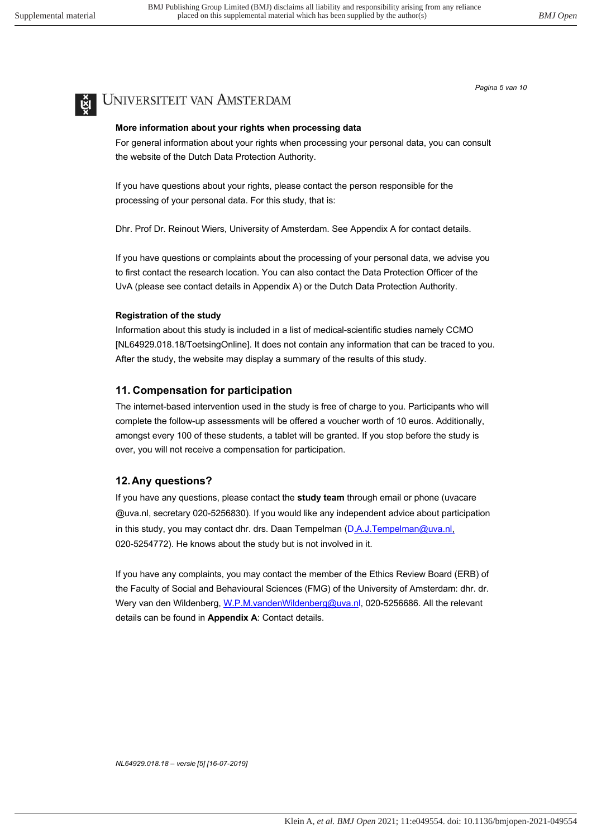*Pagina 5 van 10*

# UNIVERSITEIT VAN AMSTERDAM

#### **More information about your rights when processing data**

For general information about your rights when processing your personal data, you can consult the website of the Dutch Data Protection Authority.

If you have questions about your rights, please contact the person responsible for the processing of your personal data. For this study, that is:

Dhr. Prof Dr. Reinout Wiers, University of Amsterdam. See Appendix A for contact details.

If you have questions or complaints about the processing of your personal data, we advise you to first contact the research location. You can also contact the Data Protection Officer of the UvA (please see contact details in Appendix A) or the Dutch Data Protection Authority.

#### **Registration of the study**

Information about this study is included in a list of medical-scientific studies namely CCMO [NL64929.018.18/ToetsingOnline]. It does not contain any information that can be traced to you. After the study, the website may display a summary of the results of this study.

### **11. Compensation for participation**

The internet-based intervention used in the study is free of charge to you. Participants who will complete the follow-up assessments will be offered a voucher worth of 10 euros. Additionally, amongst every 100 of these students, a tablet will be granted. If you stop before the study is over, you will not receive a compensation for participation.

### **12.Any questions?**

If you have any questions, please contact the **study team** through email or phone (uvacare @uva.nl, secretary 020-5256830). If you would like any independent advice about participation in this study, you may contact dhr. drs. Daan Tempelman (D.A.J.Tempelman@uva.nl, 020-5254772). He knows about the study but is not involved in it.

If you have any complaints, you may contact the member of the Ethics Review Board (ERB) of the Faculty of Social and Behavioural Sciences (FMG) of the University of Amsterdam: dhr. dr. Wery van den Wildenberg, W.P.M.vandenWildenberg@uva.nl, 020-5256686. All the relevant details can be found in **Appendix A**: Contact details.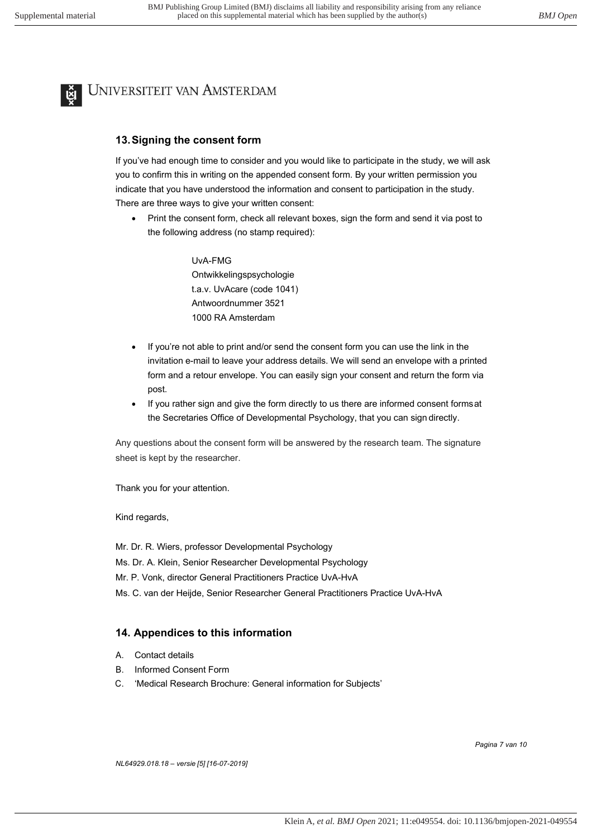

# **E** UNIVERSITEIT VAN AMSTERDAM

#### **13. Signing the consent form**

If you've had enough time to consider and you would like to participate in the study, we will ask you to confirm this in writing on the appended consent form. By your written permission you indicate that you have understood the information and consent to participation in the study. There are three ways to give your written consent:

• Print the consent form, check all relevant boxes, sign the form and send it via post to the following address (no stamp required):

> UvA-FMG Ontwikkelingspsychologie t.a.v. UvAcare (code 1041) Antwoordnummer 3521 1000 RA Amsterdam

- If you're not able to print and/or send the consent form you can use the link in the invitation e-mail to leave your address details. We will send an envelope with a printed form and a retour envelope. You can easily sign your consent and return the form via post.
- If you rather sign and give the form directly to us there are informed consent formsat the Secretaries Office of Developmental Psychology, that you can sign directly.

Any questions about the consent form will be answered by the research team. The signature sheet is kept by the researcher.

Thank you for your attention.

Kind regards,

- Mr. Dr. R. Wiers, professor Developmental Psychology
- Ms. Dr. A. Klein, Senior Researcher Developmental Psychology
- Mr. P. Vonk, director General Practitioners Practice UvA-HvA
- Ms. C. van der Heijde, Senior Researcher General Practitioners Practice UvA-HvA

#### **14. Appendices to this information**

- A. Contact details
- B. Informed Consent Form
- C. 'Medical Research Brochure: General information for Subjects'

*Pagina 7 van 10*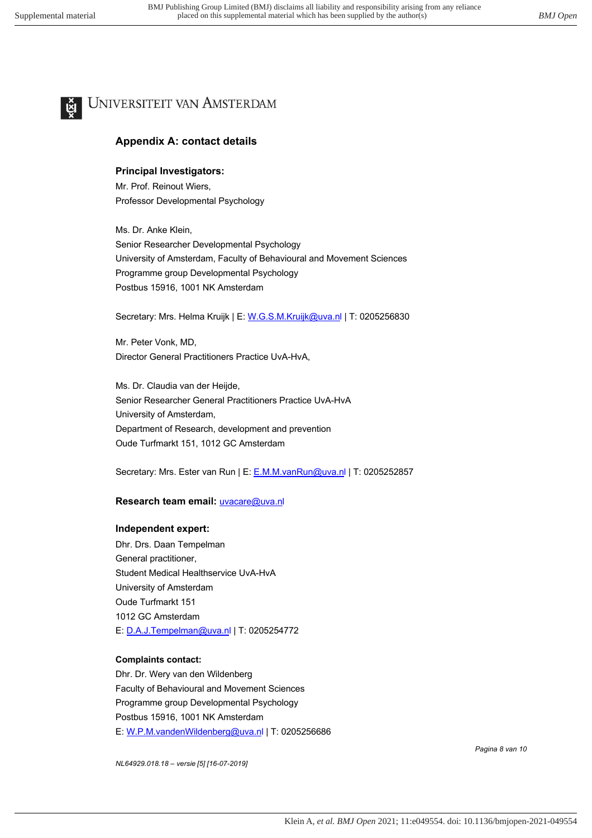# UNIVERSITEIT VAN AMSTERDAM

### **Appendix A: contact details**

### **Principal Investigators:**

Mr. Prof. Reinout Wiers, Professor Developmental Psychology

Ms. Dr. Anke Klein, Senior Researcher Developmental Psychology University of Amsterdam, Faculty of Behavioural and Movement Sciences Programme group Developmental Psychology Postbus 15916, 1001 NK Amsterdam

Secretary: Mrs. Helma Kruijk | E: W.G.S.M.Kruijk@uva.nl | T: 0205256830

Mr. Peter Vonk, MD, Director General Practitioners Practice UvA-HvA,

Ms. Dr. Claudia van der Heijde, Senior Researcher General Practitioners Practice UvA-HvA University of Amsterdam, Department of Research, development and prevention Oude Turfmarkt 151, 1012 GC Amsterdam

Secretary: Mrs. Ester van Run | E: E.M.M.vanRun@uva.nl | T: 0205252857

#### **Research team email: <b>uvacare@uva.nl**

#### **Independent expert:**

Dhr. Drs. Daan Tempelman General practitioner, Student Medical Healthservice UvA-HvA University of Amsterdam Oude Turfmarkt 151 1012 GC Amsterdam E: D.A.J.Tempelman@uva.nl | T: 0205254772

#### **Complaints contact:**

Dhr. Dr. Wery van den Wildenberg Faculty of Behavioural and Movement Sciences Programme group Developmental Psychology Postbus 15916, 1001 NK Amsterdam E: W.P.M.vandenWildenberg@uva.nl | T: 0205256686

*NL64929.018.18 – versie [5] [16-07-2019]*

*Pagina 8 van 10*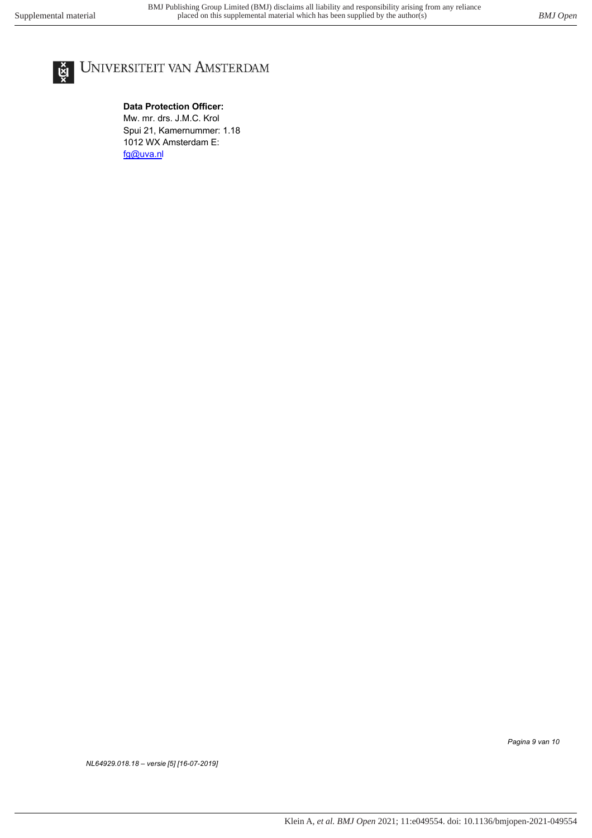

# UNIVERSITEIT VAN AMSTERDAM

**Data Protection Officer:** Mw. mr. drs. J.M.C. Krol Spui 21, Kamernummer: 1.18 1012 WX Amsterdam E: fg@uva.nl

*Pagina 9 van 10*